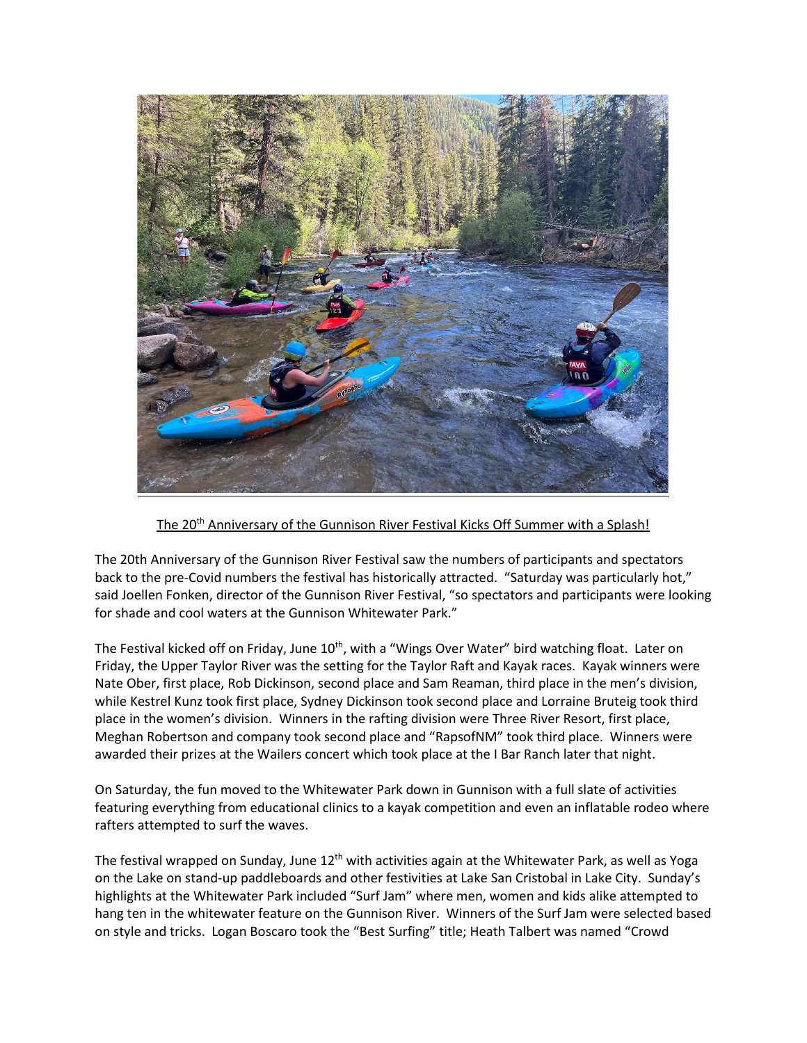

The 20th Anniversary of the Gunnison River Festival Kicks Off Summer with a Splash!

The 20th Anniversary of the Gunnison River Festival saw the numbers of participants and spectators back to the pre-Covid numbers the festival has historically attracted. "Saturday was particularly hot," said Joellen Fonken, director of the Gunnison River Festival, "so spectators and participants were looking for shade and cool waters at the Gunnison Whitewater Park."

The Festival kicked off on Friday, June 10<sup>th</sup>, with a "Wings Over Water" bird watching float. Later on Friday, the Upper Taylor River was the setting for the Taylor Raft and Kayak races. Kayak winners were Nate Ober, first place, Rob Dickinson, second place and Sam Reaman, third place in the men's division, while Kestrel Kunz took first place, Sydney Dickinson took second place and Lorraine Bruteig took third place in the women's division. Winners in the rafting division were Three River Resort, first place, Meghan Robertson and company took second place and "RapsofNM" took third place. Winners were awarded their prizes at the Wailers concert which took place at the I Bar Ranch later that night.

On Saturday, the fun moved to the Whitewater Park down in Gunnison with a full slate of activities featuring everything from educational clinics to a kayak competition and even an inflatable rodeo where rafters attempted to surf the waves.

The festival wrapped on Sunday, June  $12^{th}$  with activities again at the Whitewater Park, as well as Yoga on the Lake on stand-up paddleboards and other festivities at Lake San Cristobal in Lake City. Sunday's highlights at the Whitewater Park included "Surf Jam" where men, women and kids alike attempted to hang ten in the whitewater feature on the Gunnison River. Winners of the Surf Jam were selected based on style and tricks. Logan Boscaro took the "Best Surfing" title; Heath Talbert was named "Crowd